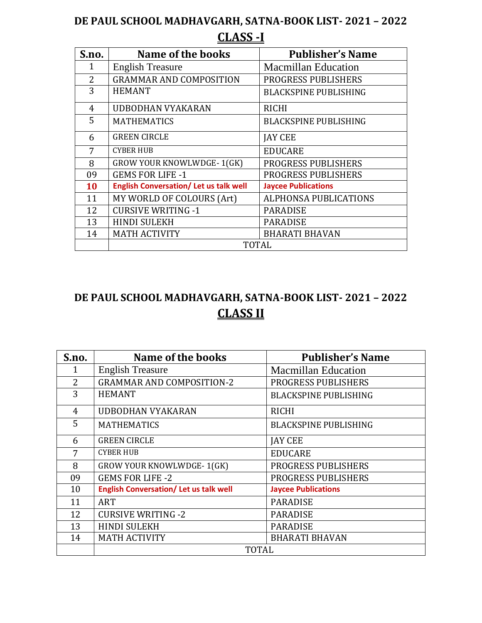# **DE PAUL SCHOOL MADHAVGARH, SATNA-BOOK LIST- 2021 – 2022 CLASS -I**

| S.no.          | Name of the books                            | <b>Publisher's Name</b>      |
|----------------|----------------------------------------------|------------------------------|
| 1              | <b>English Treasure</b>                      | <b>Macmillan Education</b>   |
| $\overline{2}$ | <b>GRAMMAR AND COMPOSITION</b>               | <b>PROGRESS PUBLISHERS</b>   |
| 3              | <b>HEMANT</b>                                | <b>BLACKSPINE PUBLISHING</b> |
| 4              | <b>UDBODHAN VYAKARAN</b>                     | <b>RICHI</b>                 |
| 5              | <b>MATHEMATICS</b>                           | <b>BLACKSPINE PUBLISHING</b> |
| 6              | <b>GREEN CIRCLE</b>                          | <b>JAY CEE</b>               |
| 7              | <b>CYBER HUB</b>                             | <b>EDUCARE</b>               |
| 8              | <b>GROW YOUR KNOWLWDGE-1(GK)</b>             | <b>PROGRESS PUBLISHERS</b>   |
| 09             | <b>GEMS FOR LIFE -1</b>                      | <b>PROGRESS PUBLISHERS</b>   |
| <b>10</b>      | <b>English Conversation/Let us talk well</b> | <b>Jaycee Publications</b>   |
| 11             | MY WORLD OF COLOURS (Art)                    | <b>ALPHONSA PUBLICATIONS</b> |
| 12             | <b>CURSIVE WRITING -1</b>                    | <b>PARADISE</b>              |
| 13             | <b>HINDI SULEKH</b>                          | <b>PARADISE</b>              |
| 14             | <b>MATH ACTIVITY</b>                         | <b>BHARATI BHAVAN</b>        |
|                | <b>TOTAL</b>                                 |                              |

# **DE PAUL SCHOOL MADHAVGARH, SATNA-BOOK LIST- 2021 – 2022 CLASS II**

| S.no. | Name of the books                             | <b>Publisher's Name</b>      |
|-------|-----------------------------------------------|------------------------------|
| 1     | <b>English Treasure</b>                       | <b>Macmillan Education</b>   |
| 2     | <b>GRAMMAR AND COMPOSITION-2</b>              | <b>PROGRESS PUBLISHERS</b>   |
| 3     | <b>HEMANT</b>                                 | <b>BLACKSPINE PUBLISHING</b> |
| 4     | UDBODHAN VYAKARAN                             | <b>RICHI</b>                 |
| 5     | <b>MATHEMATICS</b>                            | <b>BLACKSPINE PUBLISHING</b> |
| 6     | <b>GREEN CIRCLE</b>                           | <b>JAY CEE</b>               |
| 7     | <b>CYBER HUB</b>                              | <b>EDUCARE</b>               |
| 8     | <b>GROW YOUR KNOWLWDGE-1(GK)</b>              | <b>PROGRESS PUBLISHERS</b>   |
| 09    | <b>GEMS FOR LIFE -2</b>                       | <b>PROGRESS PUBLISHERS</b>   |
| 10    | <b>English Conversation/ Let us talk well</b> | <b>Jaycee Publications</b>   |
| 11    | <b>ART</b>                                    | <b>PARADISE</b>              |
| 12    | <b>CURSIVE WRITING -2</b>                     | <b>PARADISE</b>              |
| 13    | <b>HINDI SULEKH</b>                           | <b>PARADISE</b>              |
| 14    | <b>MATH ACTIVITY</b>                          | <b>BHARATI BHAVAN</b>        |
|       | TOTAL                                         |                              |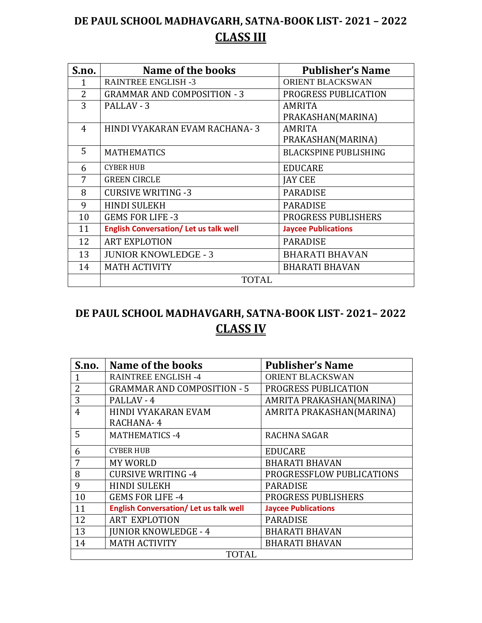# **DE PAUL SCHOOL MADHAVGARH, SATNA-BOOK LIST- 2021 – 2022 CLASS III**

| S.no.          | <b>Name of the books</b>                      | <b>Publisher's Name</b>      |
|----------------|-----------------------------------------------|------------------------------|
| 1              | <b>RAINTREE ENGLISH -3</b>                    | ORIENT BLACKSWAN             |
| $\overline{2}$ | <b>GRAMMAR AND COMPOSITION - 3</b>            | PROGRESS PUBLICATION         |
| 3              | PALLAV - 3                                    | <b>AMRITA</b>                |
|                |                                               | PRAKASHAN(MARINA)            |
| 4              | HINDI VYAKARAN EVAM RACHANA-3                 | <b>AMRITA</b>                |
|                |                                               | PRAKASHAN(MARINA)            |
| 5              | <b>MATHEMATICS</b>                            | <b>BLACKSPINE PUBLISHING</b> |
| 6              | <b>CYBER HUB</b>                              | <b>EDUCARE</b>               |
| 7              | <b>GREEN CIRCLE</b>                           | <b>JAY CEE</b>               |
| 8              | <b>CURSIVE WRITING -3</b>                     | <b>PARADISE</b>              |
| 9              | <b>HINDI SULEKH</b>                           | <b>PARADISE</b>              |
| 10             | <b>GEMS FOR LIFE -3</b>                       | PROGRESS PUBLISHERS          |
| 11             | <b>English Conversation/ Let us talk well</b> | <b>Jaycee Publications</b>   |
| 12             | <b>ART EXPLOTION</b>                          | <b>PARADISE</b>              |
| 13             | <b>JUNIOR KNOWLEDGE - 3</b>                   | <b>BHARATI BHAVAN</b>        |
| 14             | <b>MATH ACTIVITY</b>                          | <b>BHARATI BHAVAN</b>        |
|                | <b>TOTAL</b>                                  |                              |

# **DE PAUL SCHOOL MADHAVGARH, SATNA-BOOK LIST- 2021– 2022 CLASS IV**

| S.no.          | Name of the books                            | <b>Publisher's Name</b>    |
|----------------|----------------------------------------------|----------------------------|
| 1              | <b>RAINTREE ENGLISH -4</b>                   | ORIENT BLACKSWAN           |
| $\overline{2}$ | <b>GRAMMAR AND COMPOSITION - 5</b>           | PROGRESS PUBLICATION       |
| 3              | PALLAV - 4                                   | AMRITA PRAKASHAN(MARINA)   |
| 4              | <b>HINDI VYAKARAN EVAM</b>                   | AMRITA PRAKASHAN(MARINA)   |
|                | RACHANA-4                                    |                            |
| 5              | <b>MATHEMATICS -4</b>                        | <b>RACHNA SAGAR</b>        |
| 6              | <b>CYBER HUB</b>                             | <b>EDUCARE</b>             |
| 7              | <b>MY WORLD</b>                              | <b>BHARATI BHAVAN</b>      |
| 8              | <b>CURSIVE WRITING -4</b>                    | PROGRESSFLOW PUBLICATIONS  |
| 9              | <b>HINDI SULEKH</b>                          | <b>PARADISE</b>            |
| 10             | <b>GEMS FOR LIFE -4</b>                      | PROGRESS PUBLISHERS        |
| 11             | <b>English Conversation/Let us talk well</b> | <b>Jaycee Publications</b> |
| 12             | <b>ART EXPLOTION</b>                         | <b>PARADISE</b>            |
| 13             | <b>JUNIOR KNOWLEDGE - 4</b>                  | <b>BHARATI BHAVAN</b>      |
| 14             | <b>MATH ACTIVITY</b>                         | <b>BHARATI BHAVAN</b>      |
| <b>TOTAL</b>   |                                              |                            |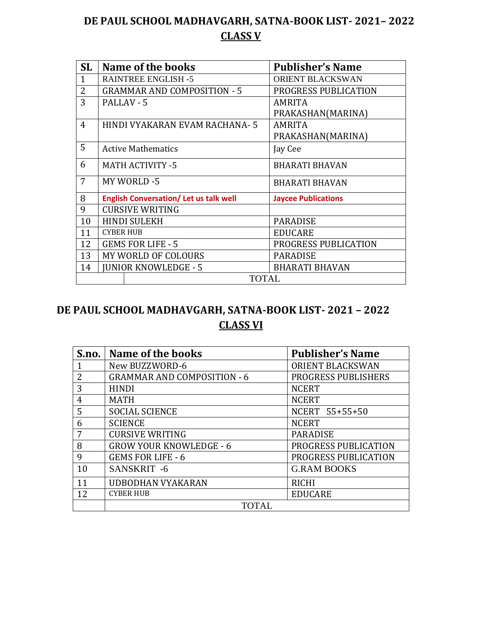## **DE PAUL SCHOOL MADHAVGARH, SATNA-BOOK LIST- 2021– 2022 CLASS V**

| <b>SL</b>      | Name of the books                            | <b>Publisher's Name</b>    |
|----------------|----------------------------------------------|----------------------------|
|                | <b>RAINTREE ENGLISH -5</b>                   | <b>ORIENT BLACKSWAN</b>    |
| $\overline{2}$ | <b>GRAMMAR AND COMPOSITION - 5</b>           | PROGRESS PUBLICATION       |
| 3              | PALLAV - 5                                   | <b>AMRITA</b>              |
|                |                                              | PRAKASHAN(MARINA)          |
| $\overline{4}$ | HINDI VYAKARAN EVAM RACHANA-5                | <b>AMRITA</b>              |
|                |                                              | PRAKASHAN(MARINA)          |
| 5              | <b>Active Mathematics</b>                    | Jay Cee                    |
| 6              | <b>MATH ACTIVITY -5</b>                      | <b>BHARATI BHAVAN</b>      |
| 7              | MY WORLD -5                                  | <b>BHARATI BHAVAN</b>      |
| 8              | <b>English Conversation/Let us talk well</b> | <b>Jaycee Publications</b> |
| 9              | <b>CURSIVE WRITING</b>                       |                            |
| 10             | <b>HINDI SULEKH</b>                          | <b>PARADISE</b>            |
| 11             | <b>CYBER HUB</b>                             | <b>EDUCARE</b>             |
| 12             | <b>GEMS FOR LIFE - 5</b>                     | PROGRESS PUBLICATION       |
| 13             | MY WORLD OF COLOURS                          | <b>PARADISE</b>            |
| 14             | <b>JUNIOR KNOWLEDGE - 5</b>                  | <b>BHARATI BHAVAN</b>      |
|                | <b>TOTAL</b>                                 |                            |

## **DE PAUL SCHOOL MADHAVGARH, SATNA-BOOK LIST- 2021 – 2022 CLASS VI**

|    | S.no.   Name of the books          | <b>Publisher's Name</b>    |
|----|------------------------------------|----------------------------|
|    | New BUZZWORD-6                     | <b>ORIENT BLACKSWAN</b>    |
| 2  | <b>GRAMMAR AND COMPOSITION - 6</b> | <b>PROGRESS PUBLISHERS</b> |
| 3  | <b>HINDI</b>                       | <b>NCERT</b>               |
| 4  | <b>MATH</b>                        | <b>NCERT</b>               |
| 5  | <b>SOCIAL SCIENCE</b>              | NCERT 55+55+50             |
| 6  | <b>SCIENCE</b>                     | <b>NCERT</b>               |
| 7  | <b>CURSIVE WRITING</b>             | <b>PARADISE</b>            |
| 8  | <b>GROW YOUR KNOWLEDGE - 6</b>     | PROGRESS PUBLICATION       |
| 9  | <b>GEMS FOR LIFE - 6</b>           | PROGRESS PUBLICATION       |
| 10 | SANSKRIT-6                         | <b>G.RAM BOOKS</b>         |
| 11 | <b>UDBODHAN VYAKARAN</b>           | <b>RICHI</b>               |
| 12 | <b>CYBER HUB</b>                   | <b>EDUCARE</b>             |
|    | TOTAL                              |                            |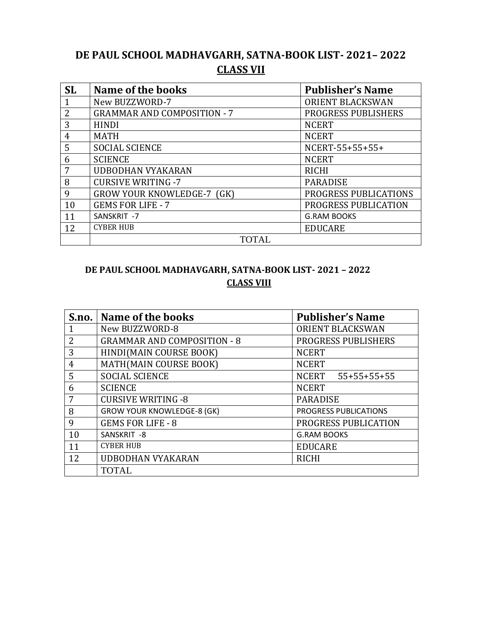## **DE PAUL SCHOOL MADHAVGARH, SATNA-BOOK LIST- 2021– 2022 CLASS VII**

| <b>SL</b>      | Name of the books                  | <b>Publisher's Name</b>    |
|----------------|------------------------------------|----------------------------|
| $\mathbf 1$    | New BUZZWORD-7                     | ORIENT BLACKSWAN           |
| 2              | <b>GRAMMAR AND COMPOSITION - 7</b> | <b>PROGRESS PUBLISHERS</b> |
| 3              | <b>HINDI</b>                       | <b>NCERT</b>               |
| $\overline{4}$ | <b>MATH</b>                        | <b>NCERT</b>               |
| 5              | <b>SOCIAL SCIENCE</b>              | NCERT-55+55+55+            |
| 6              | <b>SCIENCE</b>                     | <b>NCERT</b>               |
| 7              | <b>UDBODHAN VYAKARAN</b>           | <b>RICHI</b>               |
| 8              | <b>CURSIVE WRITING -7</b>          | <b>PARADISE</b>            |
| 9              | <b>GROW YOUR KNOWLEDGE-7 (GK)</b>  | PROGRESS PUBLICATIONS      |
| 10             | <b>GEMS FOR LIFE - 7</b>           | PROGRESS PUBLICATION       |
| 11             | SANSKRIT-7                         | <b>G.RAM BOOKS</b>         |
| 12             | <b>CYBER HUB</b>                   | <b>EDUCARE</b>             |
|                | <b>TOTAL</b>                       |                            |

### **DE PAUL SCHOOL MADHAVGARH, SATNA-BOOK LIST- 2021 – 2022 CLASS VIII**

|                | S.no.   Name of the books          | <b>Publisher's Name</b>      |
|----------------|------------------------------------|------------------------------|
|                | New BUZZWORD-8                     | <b>ORIENT BLACKSWAN</b>      |
| 2              | <b>GRAMMAR AND COMPOSITION - 8</b> | PROGRESS PUBLISHERS          |
| 3              | HINDI(MAIN COURSE BOOK)            | <b>NCERT</b>                 |
| $\overline{4}$ | MATH(MAIN COURSE BOOK)             | <b>NCERT</b>                 |
| 5              | <b>SOCIAL SCIENCE</b>              | NCERT 55+55+55+55            |
| 6              | <b>SCIENCE</b>                     | <b>NCERT</b>                 |
| 7              | <b>CURSIVE WRITING -8</b>          | <b>PARADISE</b>              |
| 8              | <b>GROW YOUR KNOWLEDGE-8 (GK)</b>  | <b>PROGRESS PUBLICATIONS</b> |
| 9              | <b>GEMS FOR LIFE - 8</b>           | PROGRESS PUBLICATION         |
| 10             | SANSKRIT-8                         | <b>G.RAM BOOKS</b>           |
| 11             | <b>CYBER HUB</b>                   | <b>EDUCARE</b>               |
| 12             | <b>UDBODHAN VYAKARAN</b>           | <b>RICHI</b>                 |
|                | <b>TOTAL</b>                       |                              |